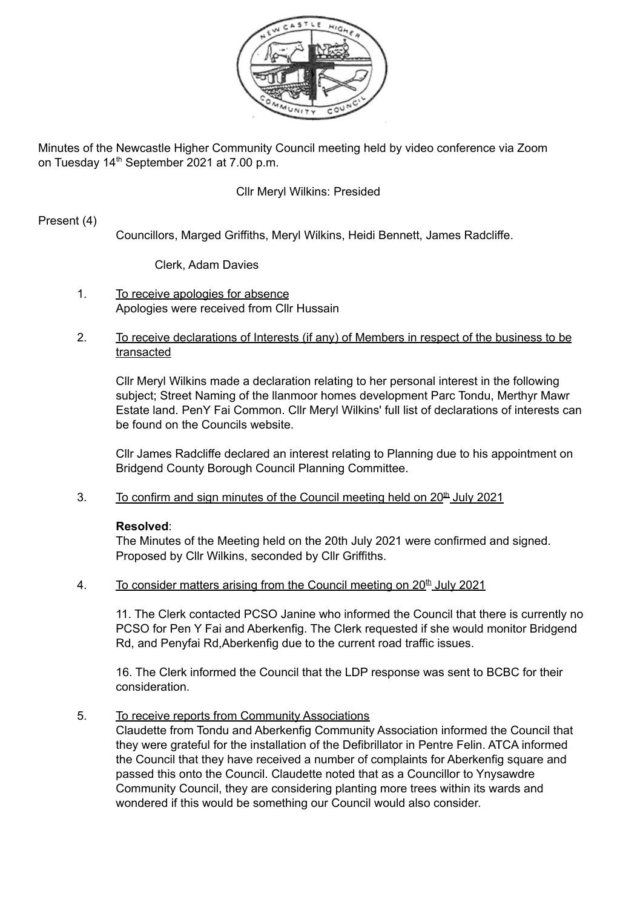

Minutes of the Newcastle Higher Community Council meeting held by video conference via Zoom on Tuesday 14<sup>th</sup> September 2021 at 7.00 p.m.

# Cllr Meryl Wilkins: Presided

## Present (4)

Councillors, Marged Griffiths, Meryl Wilkins, Heidi Bennett, James Radcliffe.

### Clerk, Adam Davies

- 1. To receive apologies for absence Apologies were received from Cllr Hussain
- 2. To receive declarations of Interests (if any) of Members in respect of the business to be transacted

Cllr Meryl Wilkins made a declaration relating to her personal interest in the following subject; Street Naming of the llanmoor homes development Parc Tondu, Merthyr Mawr Estate land. PenY Fai Common. Cllr Meryl Wilkins' full list of declarations of interests can be found on the Councils website.

Cllr James Radcliffe declared an interest relating to Planning due to his appointment on Bridgend County Borough Council Planning Committee.

3. To confirm and sign minutes of the Council meeting held on  $20<sup>th</sup>$  July 2021

### **Resolved**:

The Minutes of the Meeting held on the 20th July 2021 were confirmed and signed. Proposed by Cllr Wilkins, seconded by Cllr Griffiths.

4. To consider matters arising from the Council meeting on  $20<sup>th</sup>$  July 2021

11. The Clerk contacted PCSO Janine who informed the Council that there is currently no PCSO for Pen Y Fai and Aberkenfig. The Clerk requested if she would monitor Bridgend Rd, and Penyfai Rd,Aberkenfig due to the current road traffic issues.

16. The Clerk informed the Council that the LDP response was sent to BCBC for their consideration.

5. To receive reports from Community Associations

Claudette from Tondu and Aberkenfig Community Association informed the Council that they were grateful for the installation of the Defibrillator in Pentre Felin. ATCA informed the Council that they have received a number of complaints for Aberkenfig square and passed this onto the Council. Claudette noted that as a Councillor to Ynysawdre Community Council, they are considering planting more trees within its wards and wondered if this would be something our Council would also consider.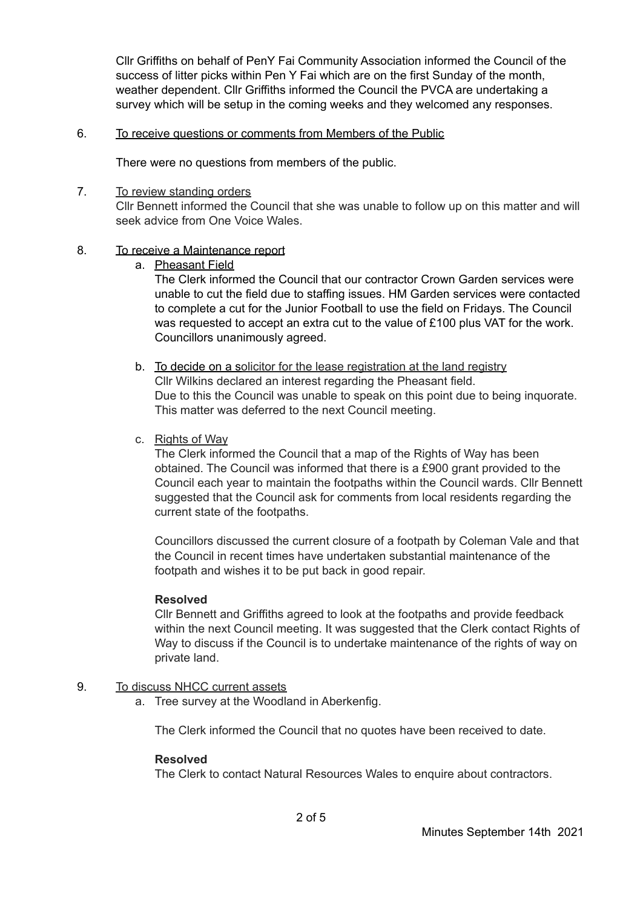Cllr Griffiths on behalf of PenY Fai Community Association informed the Council of the success of litter picks within Pen Y Fai which are on the first Sunday of the month, weather dependent. Cllr Griffiths informed the Council the PVCA are undertaking a survey which will be setup in the coming weeks and they welcomed any responses.

### 6. To receive questions or comments from Members of the Public

There were no questions from members of the public.

## 7. To review standing orders

Cllr Bennett informed the Council that she was unable to follow up on this matter and will seek advice from One Voice Wales.

# 8. To receive a Maintenance report

a. Pheasant Field

The Clerk informed the Council that our contractor Crown Garden services were unable to cut the field due to staffing issues. HM Garden services were contacted to complete a cut for the Junior Football to use the field on Fridays. The Council was requested to accept an extra cut to the value of £100 plus VAT for the work. Councillors unanimously agreed.

- b. To decide on a solicitor for the lease registration at the land registry Cllr Wilkins declared an interest regarding the Pheasant field. Due to this the Council was unable to speak on this point due to being inquorate. This matter was deferred to the next Council meeting.
- c. Rights of Way

The Clerk informed the Council that a map of the Rights of Way has been obtained. The Council was informed that there is a £900 grant provided to the Council each year to maintain the footpaths within the Council wards. Cllr Bennett suggested that the Council ask for comments from local residents regarding the current state of the footpaths.

Councillors discussed the current closure of a footpath by Coleman Vale and that the Council in recent times have undertaken substantial maintenance of the footpath and wishes it to be put back in good repair.

# **Resolved**

Cllr Bennett and Griffiths agreed to look at the footpaths and provide feedback within the next Council meeting. It was suggested that the Clerk contact Rights of Way to discuss if the Council is to undertake maintenance of the rights of way on private land.

# 9. To discuss NHCC current assets

a. Tree survey at the Woodland in Aberkenfig.

The Clerk informed the Council that no quotes have been received to date.

### **Resolved**

The Clerk to contact Natural Resources Wales to enquire about contractors.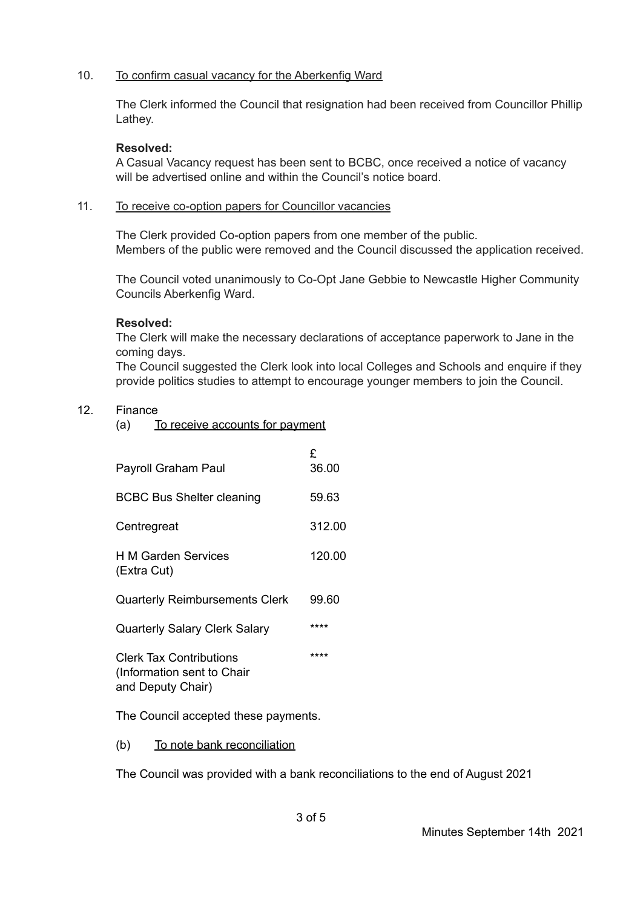# 10. To confirm casual vacancy for the Aberkenfig Ward

The Clerk informed the Council that resignation had been received from Councillor Phillip Lathey.

## **Resolved:**

A Casual Vacancy request has been sent to BCBC, once received a notice of vacancy will be advertised online and within the Council's notice board.

## 11. To receive co-option papers for Councillor vacancies

The Clerk provided Co-option papers from one member of the public. Members of the public were removed and the Council discussed the application received.

The Council voted unanimously to Co-Opt Jane Gebbie to Newcastle Higher Community Councils Aberkenfig Ward.

# **Resolved:**

The Clerk will make the necessary declarations of acceptance paperwork to Jane in the coming days.

The Council suggested the Clerk look into local Colleges and Schools and enquire if they provide politics studies to attempt to encourage younger members to join the Council.

# 12. Finance

(a) To receive accounts for payment

| Payroll Graham Paul                                                               | £<br>36.00 |
|-----------------------------------------------------------------------------------|------------|
| <b>BCBC Bus Shelter cleaning</b>                                                  | 59.63      |
| Centregreat                                                                       | 312.00     |
| H M Garden Services<br>(Extra Cut)                                                | 120.00     |
| <b>Quarterly Reimbursements Clerk</b>                                             | 99.60      |
| <b>Quarterly Salary Clerk Salary</b>                                              | ****       |
| <b>Clerk Tax Contributions</b><br>(Information sent to Chair<br>and Deputy Chair) | ****       |

The Council accepted these payments.

(b) To note bank reconciliation

The Council was provided with a bank reconciliations to the end of August 2021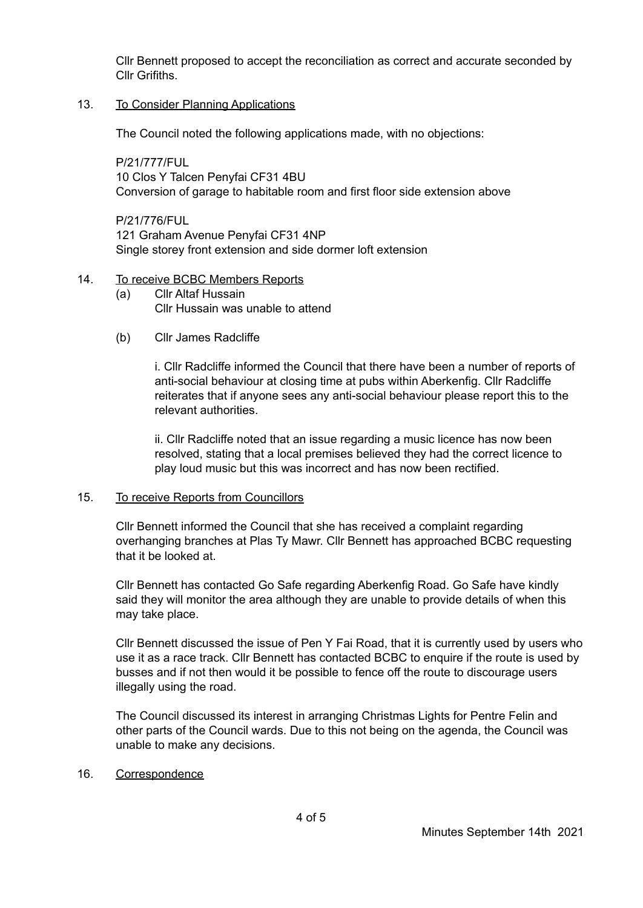Cllr Bennett proposed to accept the reconciliation as correct and accurate seconded by Cllr Grifiths.

# 13. To Consider Planning Applications

The Council noted the following applications made, with no objections:

P/21/777/FUL 10 Clos Y Talcen Penyfai CF31 4BU Conversion of garage to habitable room and first floor side extension above

**P/21/776/FUL** 121 Graham Avenue Penyfai CF31 4NP Single storey front extension and side dormer loft extension

### 14. To receive BCBC Members Reports

- (a) Cllr Altaf Hussain Cllr Hussain was unable to attend
- (b) Cllr James Radcliffe

i. Cllr Radcliffe informed the Council that there have been a number of reports of anti-social behaviour at closing time at pubs within Aberkenfig. Cllr Radcliffe reiterates that if anyone sees any anti-social behaviour please report this to the relevant authorities.

ii. Cllr Radcliffe noted that an issue regarding a music licence has now been resolved, stating that a local premises believed they had the correct licence to play loud music but this was incorrect and has now been rectified.

### 15. To receive Reports from Councillors

Cllr Bennett informed the Council that she has received a complaint regarding overhanging branches at Plas Ty Mawr. Cllr Bennett has approached BCBC requesting that it be looked at.

Cllr Bennett has contacted Go Safe regarding Aberkenfig Road. Go Safe have kindly said they will monitor the area although they are unable to provide details of when this may take place.

Cllr Bennett discussed the issue of Pen Y Fai Road, that it is currently used by users who use it as a race track. Cllr Bennett has contacted BCBC to enquire if the route is used by busses and if not then would it be possible to fence off the route to discourage users illegally using the road.

The Council discussed its interest in arranging Christmas Lights for Pentre Felin and other parts of the Council wards. Due to this not being on the agenda, the Council was unable to make any decisions.

### 16. Correspondence